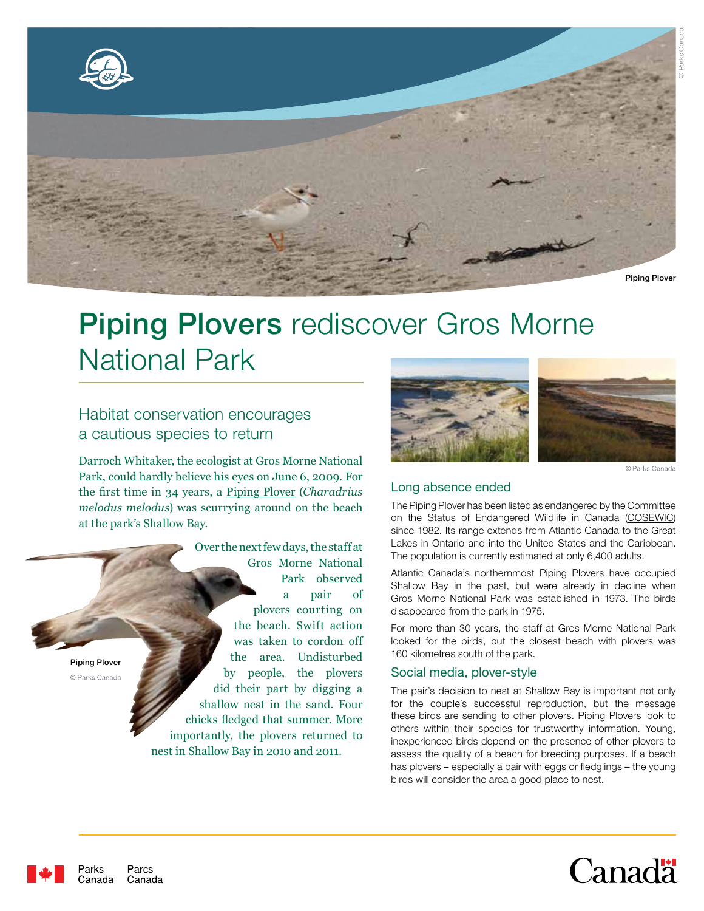

© Parks Canada



# Piping Plovers rediscover Gros Morne National Park

# Habitat conservation encourages a cautious species to return

Darroch Whitaker, the ecologist at Gros Morne National Park, could hardly believe his eyes on June 6, 2009. For the first time in 34 years, a Piping Plover (*Charadrius melodus melodus*) was scurrying around on the beach at the park's Shallow Bay.

Over the next few days, the staff at Gros Morne National Park observed a pair of plovers courting on the beach. Swift action was taken to cordon off the area. Undisturbed Piping Plover by people, the plovers © Parks Canada did their part by digging a shallow nest in the sand. Four chicks fledged that summer. More importantly, the plovers returned to nest in Shallow Bay in 2010 and 2011.



© Parks Canada

## Long absence ended

The Piping Plover has been listed as endangered by the Committee on the Status of Endangered Wildlife in Canada (COSEWIC) since 1982. Its range extends from Atlantic Canada to the Great Lakes in Ontario and into the United States and the Caribbean. The population is currently estimated at only 6,400 adults.

Atlantic Canada's northernmost Piping Plovers have occupied Shallow Bay in the past, but were already in decline when Gros Morne National Park was established in 1973. The birds disappeared from the park in 1975.

For more than 30 years, the staff at Gros Morne National Park looked for the birds, but the closest beach with plovers was 160 kilometres south of the park.

#### Social media, plover-style

The pair's decision to nest at Shallow Bay is important not only for the couple's successful reproduction, but the message these birds are sending to other plovers. Piping Plovers look to others within their species for trustworthy information. Young, inexperienced birds depend on the presence of other plovers to assess the quality of a beach for breeding purposes. If a beach has plovers – especially a pair with eggs or fledglings – the young birds will consider the area a good place to nest.